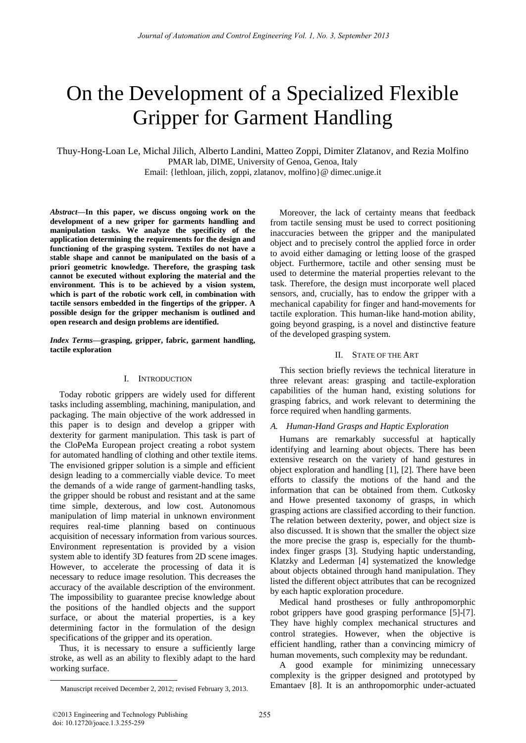# On the Development of a Specialized Flexible Gripper for Garment Handling

Thuy-Hong-Loan Le, Michal Jilich, Alberto Landini, Matteo Zoppi, Dimiter Zlatanov, and Rezia Molfino PMAR lab, DIME, University of Genoa, Genoa, Italy

Email: {lethloan, jilich, zoppi, zlatanov, molfino}@ dimec.unige.it

*Abstract***—In this paper, we discuss ongoing work on the development of a new griper for garments handling and manipulation tasks. We analyze the specificity of the application determining the requirements for the design and functioning of the grasping system. Textiles do not have a stable shape and cannot be manipulated on the basis of a priori geometric knowledge. Therefore, the grasping task cannot be executed without exploring the material and the environment. This is to be achieved by a vision system, which is part of the robotic work cell, in combination with tactile sensors embedded in the fingertips of the gripper. A possible design for the gripper mechanism is outlined and open research and design problems are identified.**

*Index Terms***—grasping, gripper, fabric, garment handling, tactile exploration** 

## I. INTRODUCTION

Today robotic grippers are widely used for different tasks including assembling, machining, manipulation, and packaging. The main objective of the work addressed in this paper is to design and develop a gripper with dexterity for garment manipulation. This task is part of the CloPeMa European project creating a robot system for automated handling of clothing and other textile items. The envisioned gripper solution is a simple and efficient design leading to a commercially viable device. To meet the demands of a wide range of garment-handling tasks, the gripper should be robust and resistant and at the same time simple, dexterous, and low cost. Autonomous manipulation of limp material in unknown environment requires real-time planning based on continuous acquisition of necessary information from various sources. Environment representation is provided by a vision system able to identify 3D features from 2D scene images. However, to accelerate the processing of data it is necessary to reduce image resolution. This decreases the accuracy of the available description of the environment. The impossibility to guarantee precise knowledge about the positions of the handled objects and the support surface, or about the material properties, is a key determining factor in the formulation of the design specifications of the gripper and its operation.

Thus, it is necessary to ensure a sufficiently large stroke, as well as an ability to flexibly adapt to the hard working surface.

Moreover, the lack of certainty means that feedback from tactile sensing must be used to correct positioning inaccuracies between the gripper and the manipulated object and to precisely control the applied force in order to avoid either damaging or letting loose of the grasped object. Furthermore, tactile and other sensing must be used to determine the material properties relevant to the task. Therefore, the design must incorporate well placed sensors, and, crucially, has to endow the gripper with a mechanical capability for finger and hand-movements for tactile exploration. This human-like hand-motion ability, going beyond grasping, is a novel and distinctive feature of the developed grasping system.

# II. STATE OF THE ART

This section briefly reviews the technical literature in three relevant areas: grasping and tactile-exploration capabilities of the human hand, existing solutions for grasping fabrics, and work relevant to determining the force required when handling garments.

# *A. Human-Hand Grasps and Haptic Exploration*

Humans are remarkably successful at haptically identifying and learning about objects. There has been extensive research on the variety of hand gestures in object exploration and handling [1], [2]. There have been efforts to classify the motions of the hand and the information that can be obtained from them. Cutkosky and Howe presented taxonomy of grasps, in which grasping actions are classified according to their function. The relation between dexterity, power, and object size is also discussed. It is shown that the smaller the object size the more precise the grasp is, especially for the thumbindex finger grasps [3]. Studying haptic understanding, Klatzky and Lederman [4] systematized the knowledge about objects obtained through hand manipulation. They listed the different object attributes that can be recognized by each haptic exploration procedure.

Medical hand prostheses or fully anthropomorphic robot grippers have good grasping performance [5]-[7]. They have highly complex mechanical structures and control strategies. However, when the objective is efficient handling, rather than a convincing mimicry of human movements, such complexity may be redundant.

A good example for minimizing unnecessary complexity is the gripper designed and prototyped by Emantaev [8]. It is an anthropomorphic under-actuated

 $\overline{a}$ 

Manuscript received December 2, 2012; revised February 3, 2013.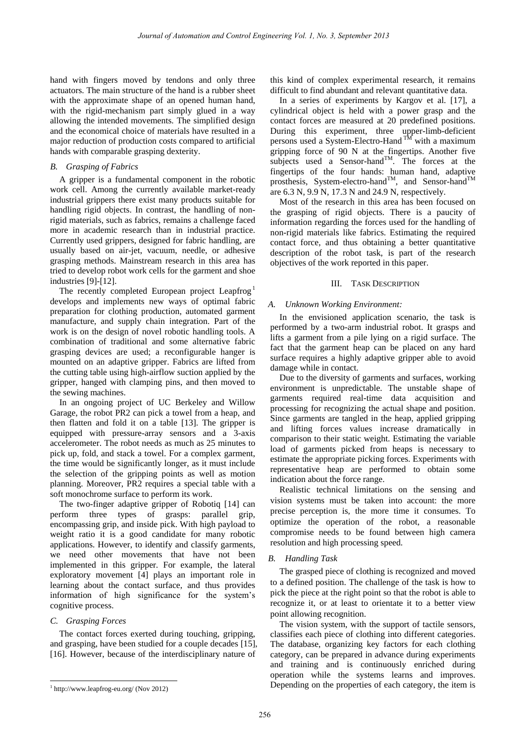hand with fingers moved by tendons and only three actuators. The main structure of the hand is a rubber sheet with the approximate shape of an opened human hand, with the rigid-mechanism part simply glued in a way allowing the intended movements. The simplified design and the economical choice of materials have resulted in a major reduction of production costs compared to artificial hands with comparable grasping dexterity.

# *B. Grasping of Fabrics*

A gripper is a fundamental component in the robotic work cell. Among the currently available market-ready industrial grippers there exist many products suitable for handling rigid objects. In contrast, the handling of nonrigid materials, such as fabrics, remains a challenge faced more in academic research than in industrial practice. Currently used grippers, designed for fabric handling, are usually based on air-jet, vacuum, needle, or adhesive grasping methods. Mainstream research in this area has tried to develop robot work cells for the garment and shoe industries [9]-[12].

The recently completed European project Leapfrog<sup>1</sup> develops and implements new ways of optimal fabric preparation for clothing production, automated garment manufacture, and supply chain integration. Part of the work is on the design of novel robotic handling tools. A combination of traditional and some alternative fabric grasping devices are used; a reconfigurable hanger is mounted on an adaptive gripper. Fabrics are lifted from the cutting table using high-airflow suction applied by the gripper, hanged with clamping pins, and then moved to the sewing machines.

In an ongoing project of UC Berkeley and Willow Garage, the robot PR2 can pick a towel from a heap, and then flatten and fold it on a table [13]. The gripper is equipped with pressure-array sensors and a 3-axis accelerometer. The robot needs as much as 25 minutes to pick up, fold, and stack a towel. For a complex garment, the time would be significantly longer, as it must include the selection of the gripping points as well as motion planning. Moreover, PR2 requires a special table with a soft monochrome surface to perform its work.

The two-finger adaptive gripper of Robotiq [14] can perform three types of grasps: parallel grip, encompassing grip, and inside pick. With high payload to weight ratio it is a good candidate for many robotic applications. However, to identify and classify garments, we need other movements that have not been implemented in this gripper. For example, the lateral exploratory movement [4] plays an important role in learning about the contact surface, and thus provides information of high significance for the system's cognitive process.

# *C. Grasping Forces*

The contact forces exerted during touching, gripping, and grasping, have been studied for a couple decades [15], [16]. However, because of the interdisciplinary nature of this kind of complex experimental research, it remains difficult to find abundant and relevant quantitative data.

In a series of experiments by Kargov et al. [17], a cylindrical object is held with a power grasp and the contact forces are measured at 20 predefined positions. During this experiment, three upper-limb-deficient persons used a System-Electro-Hand  $^{TH}$  with a maximum gripping force of 90 N at the fingertips. Another five subjects used a Sensor-hand<sup>TM</sup>. The forces at the fingertips of the four hands: human hand, adaptive prosthesis, System-electro-hand<sup>TM</sup>, and Sensor-hand<sup>TM</sup> are 6.3 N, 9.9 N, 17.3 N and 24.9 N, respectively.

Most of the research in this area has been focused on the grasping of rigid objects. There is a paucity of information regarding the forces used for the handling of non-rigid materials like fabrics. Estimating the required contact force, and thus obtaining a better quantitative description of the robot task, is part of the research objectives of the work reported in this paper.

## III. TASK DESCRIPTION

# *A. Unknown Working Environment:*

In the envisioned application scenario, the task is performed by a two-arm industrial robot. It grasps and lifts a garment from a pile lying on a rigid surface. The fact that the garment heap can be placed on any hard surface requires a highly adaptive gripper able to avoid damage while in contact.

Due to the diversity of garments and surfaces, working environment is unpredictable. The unstable shape of garments required real-time data acquisition and processing for recognizing the actual shape and position. Since garments are tangled in the heap, applied gripping and lifting forces values increase dramatically in comparison to their static weight. Estimating the variable load of garments picked from heaps is necessary to estimate the appropriate picking forces. Experiments with representative heap are performed to obtain some indication about the force range.

Realistic technical limitations on the sensing and vision systems must be taken into account: the more precise perception is, the more time it consumes. To optimize the operation of the robot, a reasonable compromise needs to be found between high camera resolution and high processing speed.

# *B. Handling Task*

The grasped piece of clothing is recognized and moved to a defined position. The challenge of the task is how to pick the piece at the right point so that the robot is able to recognize it, or at least to orientate it to a better view point allowing recognition.

The vision system, with the support of tactile sensors, classifies each piece of clothing into different categories. The database, organizing key factors for each clothing category, can be prepared in advance during experiments and training and is continuously enriched during operation while the systems learns and improves. Depending on the properties of each category, the item is

 $\overline{a}$ 1 http://www.leapfrog-eu.org/ (Nov 2012)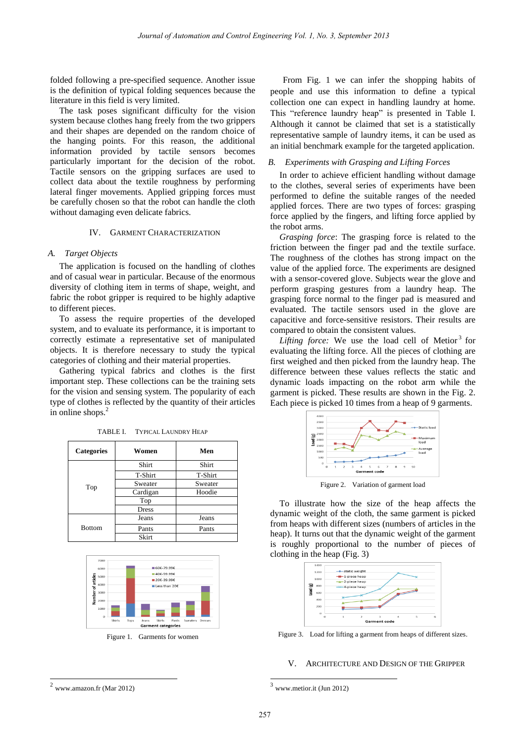folded following a pre-specified sequence. Another issue is the definition of typical folding sequences because the literature in this field is very limited.

The task poses significant difficulty for the vision system because clothes hang freely from the two grippers and their shapes are depended on the random choice of the hanging points. For this reason, the additional information provided by tactile sensors becomes particularly important for the decision of the robot. Tactile sensors on the gripping surfaces are used to collect data about the textile roughness by performing lateral finger movements. Applied gripping forces must be carefully chosen so that the robot can handle the cloth without damaging even delicate fabrics.

## IV. GARMENT CHARACTERIZATION

## *A. Target Objects*

The application is focused on the handling of clothes and of casual wear in particular. Because of the enormous diversity of clothing item in terms of shape, weight, and fabric the robot gripper is required to be highly adaptive to different pieces.

To assess the require properties of the developed system, and to evaluate its performance, it is important to correctly estimate a representative set of manipulated objects. It is therefore necessary to study the typical categories of clothing and their material properties.

Gathering typical fabrics and clothes is the first important step. These collections can be the training sets for the vision and sensing system. The popularity of each type of clothes is reflected by the quantity of their articles in online shops.<sup>2</sup>

| <b>Categories</b> | Women        | Men     |
|-------------------|--------------|---------|
| Top               | <b>Shirt</b> | Shirt   |
|                   | T-Shirt      | T-Shirt |
|                   | Sweater      | Sweater |
|                   | Cardigan     | Hoodie  |
|                   | Top          |         |
|                   | <b>Dress</b> |         |
| <b>Bottom</b>     | Jeans        | Jeans   |
|                   | Pants        | Pants   |
|                   | Skirt        |         |

TABLE I. TYPICAL LAUNDRY HEAP



Figure 1. Garments for women

From Fig. 1 we can infer the shopping habits of people and use this information to define a typical collection one can expect in handling laundry at home. This "reference laundry heap" is presented in Table I. Although it cannot be claimed that set is a statistically representative sample of laundry items, it can be used as an initial benchmark example for the targeted application.

## *B. Experiments with Grasping and Lifting Forces*

In order to achieve efficient handling without damage to the clothes, several series of experiments have been performed to define the suitable ranges of the needed applied forces. There are two types of forces: grasping force applied by the fingers, and lifting force applied by the robot arms.

*Grasping force*: The grasping force is related to the friction between the finger pad and the textile surface. The roughness of the clothes has strong impact on the value of the applied force. The experiments are designed with a sensor-covered glove. Subjects wear the glove and perform grasping gestures from a laundry heap. The grasping force normal to the finger pad is measured and evaluated. The tactile sensors used in the glove are capacitive and force-sensitive resistors. Their results are compared to obtain the consistent values.

Lifting force: We use the load cell of Metior<sup>3</sup> for evaluating the lifting force. All the pieces of clothing are first weighed and then picked from the laundry heap. The difference between these values reflects the static and dynamic loads impacting on the robot arm while the garment is picked. These results are shown in the Fig. 2. Each piece is picked 10 times from a heap of 9 garments.



Figure 2. Variation of garment load

To illustrate how the size of the heap affects the dynamic weight of the cloth, the same garment is picked from heaps with different sizes (numbers of articles in the heap). It turns out that the dynamic weight of the garment is roughly proportional to the number of pieces of clothing in the heap (Fig. 3)



Figure 3. Load for lifting a garment from heaps of different sizes.

#### V. ARCHITECTURE AND DESIGN OF THE GRIPPER

 $\overline{a}$ 

-

<sup>3</sup> www.metior.it (Jun 2012)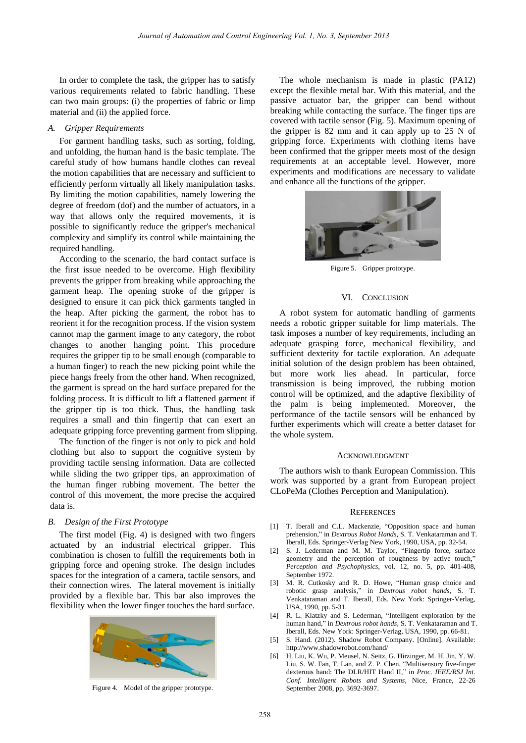In order to complete the task, the gripper has to satisfy various requirements related to fabric handling. These can two main groups: (i) the properties of fabric or limp material and (ii) the applied force.

#### *A. Gripper Requirements*

For garment handling tasks, such as sorting, folding, and unfolding, the human hand is the basic template. The careful study of how humans handle clothes can reveal the motion capabilities that are necessary and sufficient to efficiently perform virtually all likely manipulation tasks. By limiting the motion capabilities, namely lowering the degree of freedom (dof) and the number of actuators, in a way that allows only the required movements, it is possible to significantly reduce the gripper's mechanical complexity and simplify its control while maintaining the required handling.

According to the scenario, the hard contact surface is the first issue needed to be overcome. High flexibility prevents the gripper from breaking while approaching the garment heap. The opening stroke of the gripper is designed to ensure it can pick thick garments tangled in the heap. After picking the garment, the robot has to reorient it for the recognition process. If the vision system cannot map the garment image to any category, the robot changes to another hanging point. This procedure requires the gripper tip to be small enough (comparable to a human finger) to reach the new picking point while the piece hangs freely from the other hand. When recognized, the garment is spread on the hard surface prepared for the folding process. It is difficult to lift a flattened garment if the gripper tip is too thick. Thus, the handling task requires a small and thin fingertip that can exert an adequate gripping force preventing garment from slipping.

The function of the finger is not only to pick and hold clothing but also to support the cognitive system by providing tactile sensing information. Data are collected while sliding the two gripper tips, an approximation of the human finger rubbing movement. The better the control of this movement, the more precise the acquired data is.

## *B. Design of the First Prototype*

The first model (Fig. 4) is designed with two fingers actuated by an industrial electrical gripper. This combination is chosen to fulfill the requirements both in gripping force and opening stroke. The design includes spaces for the integration of a camera, tactile sensors, and their connection wires. The lateral movement is initially provided by a flexible bar. This bar also improves the flexibility when the lower finger touches the hard surface.



Figure 4. Model of the gripper prototype.

The whole mechanism is made in plastic (PA12) except the flexible metal bar. With this material, and the passive actuator bar, the gripper can bend without breaking while contacting the surface. The finger tips are covered with tactile sensor (Fig. 5). Maximum opening of the gripper is 82 mm and it can apply up to 25 N of gripping force. Experiments with clothing items have been confirmed that the gripper meets most of the design requirements at an acceptable level. However, more experiments and modifications are necessary to validate and enhance all the functions of the gripper.



Figure 5. Gripper prototype.

#### VI. CONCLUSION

A robot system for automatic handling of garments needs a robotic gripper suitable for limp materials. The task imposes a number of key requirements, including an adequate grasping force, mechanical flexibility, and sufficient dexterity for tactile exploration. An adequate initial solution of the design problem has been obtained, but more work lies ahead. In particular, force transmission is being improved, the rubbing motion control will be optimized, and the adaptive flexibility of the palm is being implemented. Moreover, the performance of the tactile sensors will be enhanced by further experiments which will create a better dataset for the whole system.

#### ACKNOWLEDGMENT

The authors wish to thank European Commission. This work was supported by a grant from European project CLoPeMa (Clothes Perception and Manipulation).

#### **REFERENCES**

- [1] T. Iberall and C.L. Mackenzie, "Opposition space and human prehension," in *Dextrous Robot Hands*, S. T. Venkataraman and T. Iberall, Eds. Springer-Verlag New York, 1990, USA, pp. 32-54.
- [2] S. J. Lederman and M. M. Taylor, "Fingertip force, surface geometry and the perception of roughness by active touch, *Perception and Psychophysics*, vol. 12, no. 5, pp. 401-408, September 1972.
- [3] M. R. Cutkosky and R. D. Howe, "Human grasp choice and robotic grasp analysis," in *Dextrous robot hands*, S. T. Venkataraman and T. Iberall, Eds. New York: Springer-Verlag, USA, 1990, pp. 5-31.
- [4] R. L. Klatzky and S. Lederman, "Intelligent exploration by the human hand," in *Dextrous robot hands*, S. T. Venkataraman and T. Iberall, Eds. New York: Springer-Verlag, USA, 1990, pp. 66-81.
- [5] S. Hand. (2012). Shadow Robot Company. [Online]. Available: http://www.shadowrobot.com/hand/
- [6] H. Liu, K. Wu, P. Meusel, N. Seitz, G. Hirzinger, M. H. Jin, Y. W. Liu, S. W. Fan, T. Lan, and Z. P. Chen. "Multisensory five-finger dexterous hand: The DLR/HIT Hand II," in *Proc. IEEE/RSJ Int. Conf. Intelligent Robots and Systems*, Nice, France, 22-26 September 2008, pp. 3692-3697.